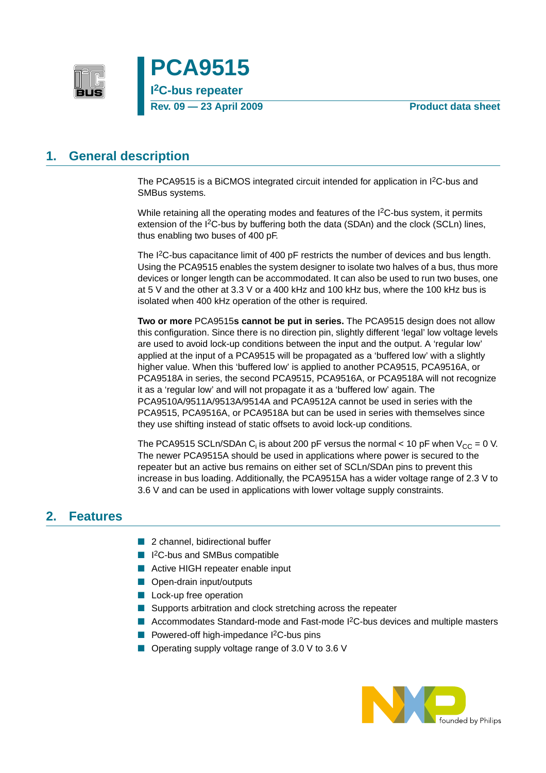



## <span id="page-0-0"></span>**1. General description**

The PCA9515 is a BiCMOS integrated circuit intended for application in I<sup>2</sup>C-bus and SMBus systems.

While retaining all the operating modes and features of the I<sup>2</sup>C-bus system, it permits extension of the I2C-bus by buffering both the data (SDAn) and the clock (SCLn) lines, thus enabling two buses of 400 pF.

The I<sup>2</sup>C-bus capacitance limit of 400 pF restricts the number of devices and bus length. Using the PCA9515 enables the system designer to isolate two halves of a bus, thus more devices or longer length can be accommodated. It can also be used to run two buses, one at 5 V and the other at 3.3 V or a 400 kHz and 100 kHz bus, where the 100 kHz bus is isolated when 400 kHz operation of the other is required.

**Two or more** PCA9515**s cannot be put in series.** The PCA9515 design does not allow this configuration. Since there is no direction pin, slightly different 'legal' low voltage levels are used to avoid lock-up conditions between the input and the output. A 'regular low' applied at the input of a PCA9515 will be propagated as a 'buffered low' with a slightly higher value. When this 'buffered low' is applied to another PCA9515, PCA9516A, or PCA9518A in series, the second PCA9515, PCA9516A, or PCA9518A will not recognize it as a 'regular low' and will not propagate it as a 'buffered low' again. The PCA9510A/9511A/9513A/9514A and PCA9512A cannot be used in series with the PCA9515, PCA9516A, or PCA9518A but can be used in series with themselves since they use shifting instead of static offsets to avoid lock-up conditions.

The PCA9515 SCLn/SDAn C<sub>i</sub> is about 200 pF versus the normal < 10 pF when  $V_{CC} = 0$  V. The newer PCA9515A should be used in applications where power is secured to the repeater but an active bus remains on either set of SCLn/SDAn pins to prevent this increase in bus loading. Additionally, the PCA9515A has a wider voltage range of 2.3 V to 3.6 V and can be used in applications with lower voltage supply constraints.

## <span id="page-0-1"></span>**2. Features**

- 2 channel, bidirectional buffer
- I<sup>2</sup>C-bus and SMBus compatible
- Active HIGH repeater enable input
- Open-drain input/outputs
- Lock-up free operation
- Supports arbitration and clock stretching across the repeater
- Accommodates Standard-mode and Fast-mode I<sup>2</sup>C-bus devices and multiple masters
- Powered-off high-impedance I<sup>2</sup>C-bus pins
- Operating supply voltage range of 3.0 V to 3.6 V

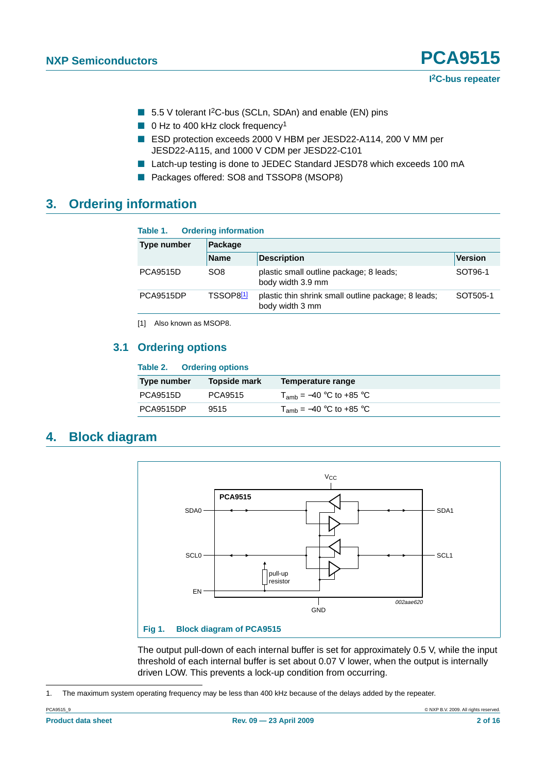- 5.5 V tolerant I<sup>2</sup>C-bus (SCLn, SDAn) and enable (EN) pins
- 0 Hz to 400 kHz clock frequency<sup>1</sup>
- ESD protection exceeds 2000 V HBM per JESD22-A114, 200 V MM per JESD22-A115, and 1000 V CDM per JESD22-C101
- Latch-up testing is done to JEDEC Standard JESD78 which exceeds 100 mA
- Packages offered: SO8 and TSSOP8 (MSOP8)

## <span id="page-1-2"></span>**3. Ordering information**

### **Table 1. Ordering information**

| Type number      | Package               |                                                                        |                |  |  |
|------------------|-----------------------|------------------------------------------------------------------------|----------------|--|--|
|                  | <b>Name</b>           | <b>Description</b>                                                     | <b>Version</b> |  |  |
| <b>PCA9515D</b>  | SO <sub>8</sub>       | plastic small outline package; 8 leads;<br>body width 3.9 mm           | SOT96-1        |  |  |
| <b>PCA9515DP</b> | TSSOP8 <sup>[1]</sup> | plastic thin shrink small outline package; 8 leads;<br>body width 3 mm | SOT505-1       |  |  |

<span id="page-1-0"></span>[1] Also known as MSOP8.

### <span id="page-1-3"></span>**3.1 Ordering options**

### **Table 2. Ordering options**

| $1$ univ $1$     |              |                              |  |  |
|------------------|--------------|------------------------------|--|--|
| Type number      | Topside mark | Temperature range            |  |  |
| <b>PCA9515D</b>  | PCA9515      | $T_{amb}$ = –40 °C to +85 °C |  |  |
| <b>PCA9515DP</b> | 9515         | $T_{amb}$ = –40 °C to +85 °C |  |  |

## <span id="page-1-4"></span>**4. Block diagram**



<span id="page-1-1"></span>The output pull-down of each internal buffer is set for approximately 0.5 V, while the input threshold of each internal buffer is set about 0.07 V lower, when the output is internally driven LOW. This prevents a lock-up condition from occurring.

1. The maximum system operating frequency may be less than 400 kHz because of the delays added by the repeater.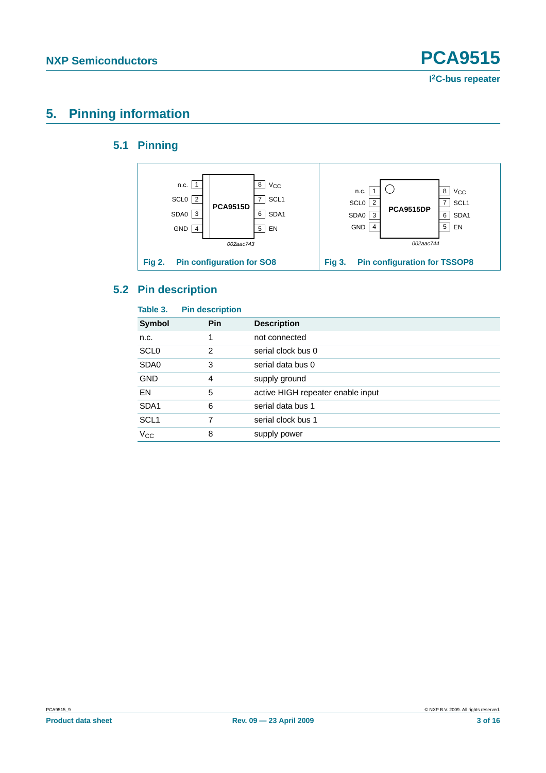## <span id="page-2-1"></span><span id="page-2-0"></span>**5. Pinning information**

## **5.1 Pinning**



## <span id="page-2-2"></span>**5.2 Pin description**

| Table 3.         | <b>Pin description</b> |                                   |
|------------------|------------------------|-----------------------------------|
| Symbol           | <b>Pin</b>             | <b>Description</b>                |
| n.c.             | 1                      | not connected                     |
| <b>SCL0</b>      | 2                      | serial clock bus 0                |
| SDA0             | 3                      | serial data bus 0                 |
| <b>GND</b>       | 4                      | supply ground                     |
| EN               | 5                      | active HIGH repeater enable input |
| SDA <sub>1</sub> | 6                      | serial data bus 1                 |
| SCL <sub>1</sub> | 7                      | serial clock bus 1                |
| $V_{CC}$         | 8                      | supply power                      |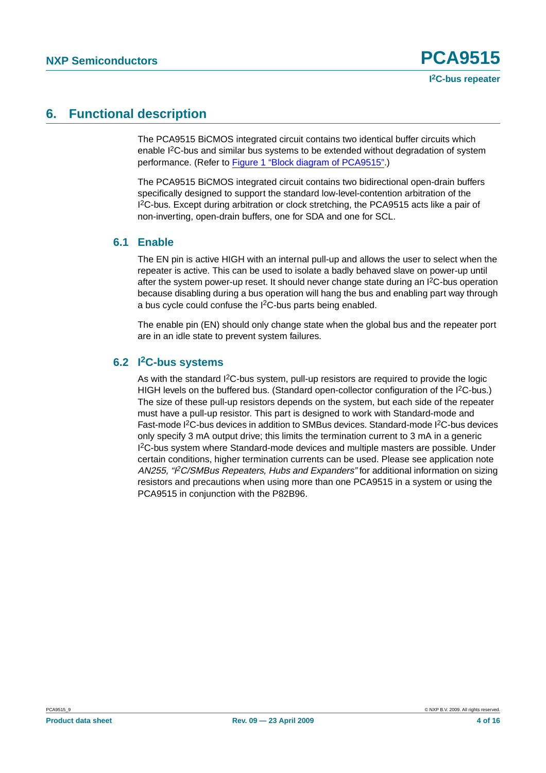## <span id="page-3-0"></span>**6. Functional description**

The PCA9515 BiCMOS integrated circuit contains two identical buffer circuits which enable I2C-bus and similar bus systems to be extended without degradation of system performance. (Refer to [Figure 1 "Block diagram of PCA9515".](#page-1-1))

The PCA9515 BiCMOS integrated circuit contains two bidirectional open-drain buffers specifically designed to support the standard low-level-contention arbitration of the I 2C-bus. Except during arbitration or clock stretching, the PCA9515 acts like a pair of non-inverting, open-drain buffers, one for SDA and one for SCL.

### <span id="page-3-1"></span>**6.1 Enable**

The EN pin is active HIGH with an internal pull-up and allows the user to select when the repeater is active. This can be used to isolate a badly behaved slave on power-up until after the system power-up reset. It should never change state during an I2C-bus operation because disabling during a bus operation will hang the bus and enabling part way through a bus cycle could confuse the I2C-bus parts being enabled.

The enable pin (EN) should only change state when the global bus and the repeater port are in an idle state to prevent system failures.

### <span id="page-3-2"></span>**6.2 I2C-bus systems**

As with the standard  $12C$ -bus system, pull-up resistors are required to provide the logic HIGH levels on the buffered bus. (Standard open-collector configuration of the  $12C$ -bus.) The size of these pull-up resistors depends on the system, but each side of the repeater must have a pull-up resistor. This part is designed to work with Standard-mode and Fast-mode I<sup>2</sup>C-bus devices in addition to SMBus devices. Standard-mode I<sup>2</sup>C-bus devices only specify 3 mA output drive; this limits the termination current to 3 mA in a generic I 2C-bus system where Standard-mode devices and multiple masters are possible. Under certain conditions, higher termination currents can be used. Please see application note AN255, "I<sup>2</sup>C/SMBus Repeaters, Hubs and Expanders" for additional information on sizing resistors and precautions when using more than one PCA9515 in a system or using the PCA9515 in conjunction with the P82B96.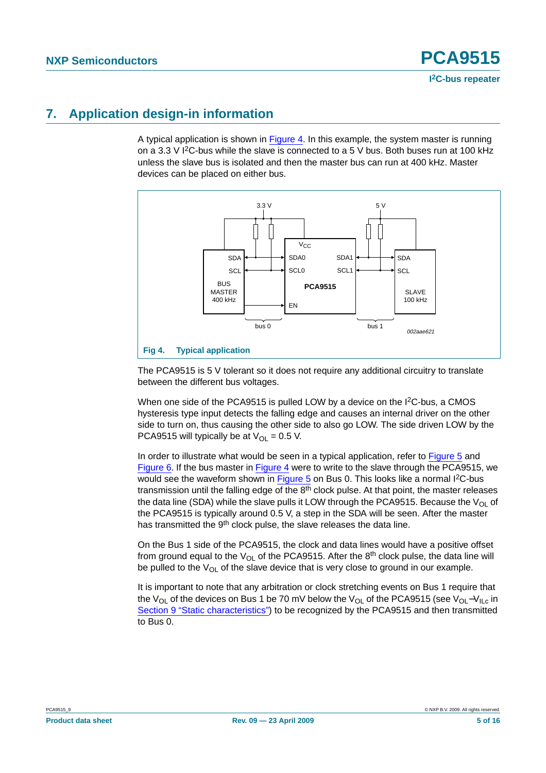## <span id="page-4-1"></span>**7. Application design-in information**

A typical application is shown in [Figure](#page-4-0) 4. In this example, the system master is running on a 3.3 V  $12$ C-bus while the slave is connected to a 5 V bus. Both buses run at 100 kHz unless the slave bus is isolated and then the master bus can run at 400 kHz. Master devices can be placed on either bus.



<span id="page-4-0"></span>The PCA9515 is 5 V tolerant so it does not require any additional circuitry to translate between the different bus voltages.

When one side of the PCA9515 is pulled LOW by a device on the  $12C$ -bus, a CMOS hysteresis type input detects the falling edge and causes an internal driver on the other side to turn on, thus causing the other side to also go LOW. The side driven LOW by the PCA9515 will typically be at  $V_{OL} = 0.5$  V.

In order to illustrate what would be seen in a typical application, refer to [Figure](#page-5-0) 5 and [Figure](#page-5-1) 6. If the bus master in [Figure](#page-4-0) 4 were to write to the slave through the PCA9515, we would see the waveform shown in [Figure](#page-5-0) 5 on Bus 0. This looks like a normal  $1<sup>2</sup>C$ -bus transmission until the falling edge of the  $8<sup>th</sup>$  clock pulse. At that point, the master releases the data line (SDA) while the slave pulls it LOW through the PCA9515. Because the  $V_{\text{OI}}$  of the PCA9515 is typically around 0.5 V, a step in the SDA will be seen. After the master has transmitted the 9<sup>th</sup> clock pulse, the slave releases the data line.

On the Bus 1 side of the PCA9515, the clock and data lines would have a positive offset from ground equal to the  $V_{OL}$  of the PCA9515. After the 8<sup>th</sup> clock pulse, the data line will be pulled to the  $V_{\Omega}$  of the slave device that is very close to ground in our example.

It is important to note that any arbitration or clock stretching events on Bus 1 require that the V<sub>OL</sub> of the devices on Bus 1 be 70 mV below the V<sub>OL</sub> of the PCA9515 (see V<sub>OL</sub>-V<sub>ILc</sub> in [Section 9 "Static characteristics"](#page-6-0)) to be recognized by the PCA9515 and then transmitted to Bus 0.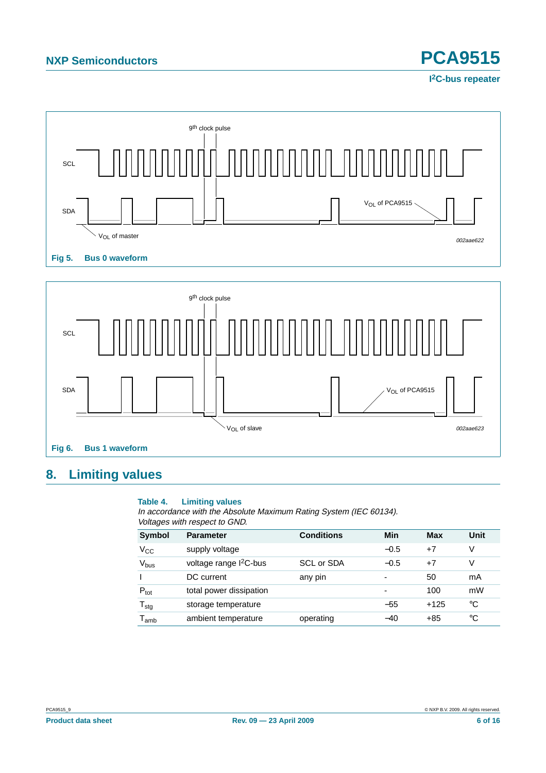

<span id="page-5-0"></span>

# <span id="page-5-2"></span><span id="page-5-1"></span>**8. Limiting values**

### **Table 4. Limiting values**

In accordance with the Absolute Maximum Rating System (IEC 60134). Voltages with respect to GND.

| Symbol                      | <b>Parameter</b>                   | <b>Conditions</b> | Min    | Max    | Unit |
|-----------------------------|------------------------------------|-------------------|--------|--------|------|
| $V_{CC}$                    | supply voltage                     |                   | $-0.5$ | $+7$   | V    |
| V <sub>bus</sub>            | voltage range I <sup>2</sup> C-bus | SCL or SDA        | $-0.5$ | $+7$   | V    |
|                             | DC current                         | any pin           |        | 50     | mA   |
| $P_{\text{tot}}$            | total power dissipation            |                   |        | 100    | mW   |
| $T_{\text{stg}}$            | storage temperature                |                   | $-55$  | $+125$ | °C   |
| $\mathsf{T}_{\mathsf{amb}}$ | ambient temperature                | operating         | $-40$  | $+85$  | °C   |

**I 2C-bus repeater**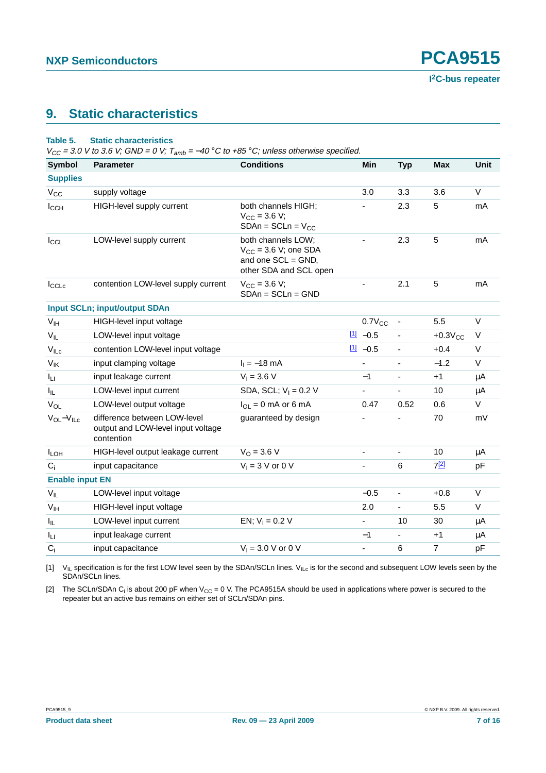## <span id="page-6-0"></span>**9. Static characteristics**

### <span id="page-6-3"></span>**Table 5. Static characteristics**

 $V_{CC}$  = 3.0 V to 3.6 V; GND = 0 V;  $T_{amb}$  = -40 °C to +85 °C; unless otherwise specified.

| Symbol                 | <b>Parameter</b>                                                                 | <b>Conditions</b>                                                                                  | Min                      | <b>Typ</b>               | <b>Max</b>     | <b>Unit</b> |
|------------------------|----------------------------------------------------------------------------------|----------------------------------------------------------------------------------------------------|--------------------------|--------------------------|----------------|-------------|
| <b>Supplies</b>        |                                                                                  |                                                                                                    |                          |                          |                |             |
| $V_{CC}$               | supply voltage                                                                   |                                                                                                    | 3.0                      | 3.3                      | 3.6            | $\vee$      |
| $I_{\text{CCH}}$       | HIGH-level supply current                                                        | both channels HIGH;<br>$V_{CC}$ = 3.6 V;<br>$SDAn = SCLn = VCC$                                    |                          | 2.3                      | 5              | mA          |
| $I_{CCL}$              | LOW-level supply current                                                         | both channels LOW;<br>$V_{CC}$ = 3.6 V; one SDA<br>and one $SCL = GND$ ,<br>other SDA and SCL open | $\overline{\phantom{a}}$ | 2.3                      | $\overline{5}$ | mA          |
| $I_{\text{CCLc}}$      | contention LOW-level supply current                                              | $V_{\rm CC}$ = 3.6 V;<br>$SDAn = SCLn = GND$                                                       |                          | 2.1                      | 5              | mA          |
|                        | <b>Input SCLn; input/output SDAn</b>                                             |                                                                                                    |                          |                          |                |             |
| V <sub>IH</sub>        | HIGH-level input voltage                                                         |                                                                                                    | $0.7V_{CC}$              | $\overline{\phantom{a}}$ | 5.5            | $\vee$      |
| $V_{IL}$               | LOW-level input voltage                                                          |                                                                                                    | $11 - 0.5$               | ä,                       | $+0.3V_{CC}$   | V           |
| $V_{ILC}$              | contention LOW-level input voltage                                               |                                                                                                    | $11 - 0.5$               | $\overline{\phantom{0}}$ | $+0.4$         | V           |
| $V_{\text{IK}}$        | input clamping voltage                                                           | $I_1 = -18$ mA                                                                                     | $\blacksquare$           | ٠                        | $-1.2$         | $\vee$      |
| Iц                     | input leakage current                                                            | $V_1 = 3.6 V$                                                                                      | $-1$                     | $\overline{\phantom{0}}$ | $+1$           | μA          |
| I <sub>IL</sub>        | LOW-level input current                                                          | SDA, SCL; $V_1 = 0.2 V$                                                                            |                          | $\frac{1}{2}$            | 10             | μA          |
| $V_{OL}$               | LOW-level output voltage                                                         | $I_{OL} = 0$ mA or 6 mA                                                                            | 0.47                     | 0.52                     | 0.6            | V           |
| $V_{OL} - V_{ILC}$     | difference between LOW-level<br>output and LOW-level input voltage<br>contention | guaranteed by design                                                                               |                          |                          | 70             | mV          |
| <b>ILOH</b>            | HIGH-level output leakage current                                                | $V_0 = 3.6 V$                                                                                      | $\overline{\phantom{a}}$ | $\overline{\phantom{a}}$ | 10             | μA          |
| $C_i$                  | input capacitance                                                                | $V_1 = 3$ V or 0 V                                                                                 |                          | 6                        | 7[2]           | pF          |
| <b>Enable input EN</b> |                                                                                  |                                                                                                    |                          |                          |                |             |
| $V_{IL}$               | LOW-level input voltage                                                          |                                                                                                    | $-0.5$                   | $\overline{\phantom{0}}$ | $+0.8$         | $\vee$      |
| V <sub>IH</sub>        | HIGH-level input voltage                                                         |                                                                                                    | 2.0                      | $\overline{\phantom{a}}$ | 5.5            | $\vee$      |
| Ι'n.                   | LOW-level input current                                                          | EN; $V_1 = 0.2 V$                                                                                  | $\overline{\phantom{a}}$ | 10                       | 30             | μA          |
| Iц                     | input leakage current                                                            |                                                                                                    | $-1$                     | ÷.                       | $+1$           | μA          |
| $C_i$                  | input capacitance                                                                | $V_1 = 3.0 V$ or 0 V                                                                               | $\blacksquare$           | 6                        | $\overline{7}$ | pF          |

<span id="page-6-1"></span>[1]  $V_{IL}$  specification is for the first LOW level seen by the SDAn/SCLn lines.  $V_{ILc}$  is for the second and subsequent LOW levels seen by the SDAn/SCLn lines.

<span id="page-6-2"></span>[2] The SCLn/SDAn C<sub>i</sub> is about 200 pF when V<sub>CC</sub> = 0 V. The PCA9515A should be used in applications where power is secured to the repeater but an active bus remains on either set of SCLn/SDAn pins.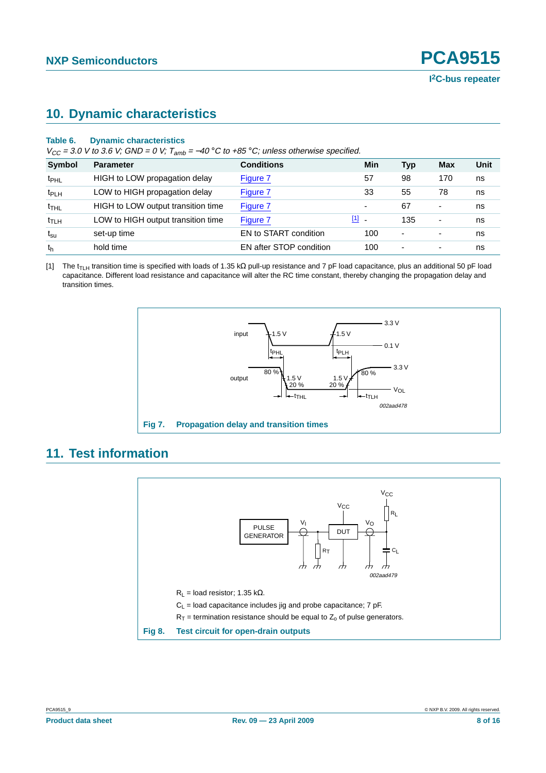## <span id="page-7-2"></span>**10. Dynamic characteristics**

### **Table 6. Dynamic characteristics**

 $V_{CC}$  = 3.0 V to 3.6 V; GND = 0 V; T<sub>amb</sub> = -40 °C to +85 °C; unless otherwise specified.

| <b>Symbol</b>    | <b>Parameter</b>                   | <b>Conditions</b>       | Min                      | Typ                      | Max                      | Unit |
|------------------|------------------------------------|-------------------------|--------------------------|--------------------------|--------------------------|------|
| t <sub>PHL</sub> | HIGH to LOW propagation delay      | Figure 7                | 57                       | 98                       | 170                      | ns   |
| t <sub>PLH</sub> | LOW to HIGH propagation delay      | Figure 7                | 33                       | 55                       | 78                       | ns   |
| $t$ THL          | HIGH to LOW output transition time | Figure 7                | $\overline{\phantom{0}}$ | 67                       | $\overline{\phantom{0}}$ | ns   |
| $t_{\text{TLH}}$ | LOW to HIGH output transition time | Figure 7                | $[1]$                    | 135                      | -                        | ns   |
| $t_{\rm su}$     | set-up time                        | EN to START condition   | 100                      | $\overline{\phantom{0}}$ |                          | ns   |
| th               | hold time                          | EN after STOP condition | 100                      | ٠                        | ٠                        | ns   |

<span id="page-7-1"></span>[1] The t<sub>TLH</sub> transition time is specified with loads of 1.35 kΩ pull-up resistance and 7 pF load capacitance, plus an additional 50 pF load capacitance. Different load resistance and capacitance will alter the RC time constant, thereby changing the propagation delay and transition times.



## <span id="page-7-3"></span>**11. Test information**

<span id="page-7-0"></span>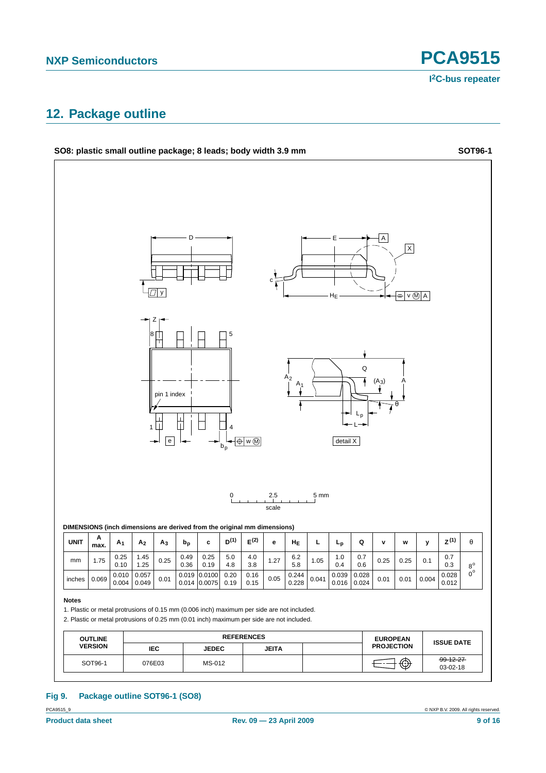## <span id="page-8-0"></span>**12. Package outline**



## **Fig 9. Package outline SOT96-1 (SO8)**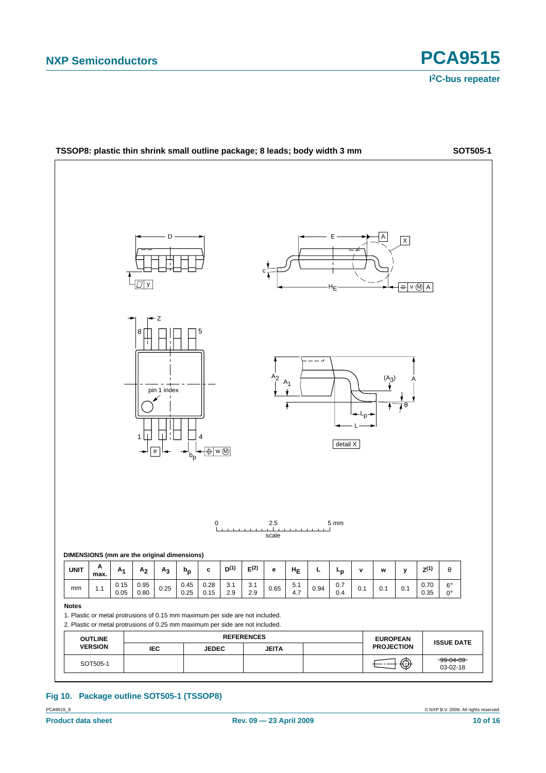

**Fig 10. Package outline SOT505-1 (TSSOP8)**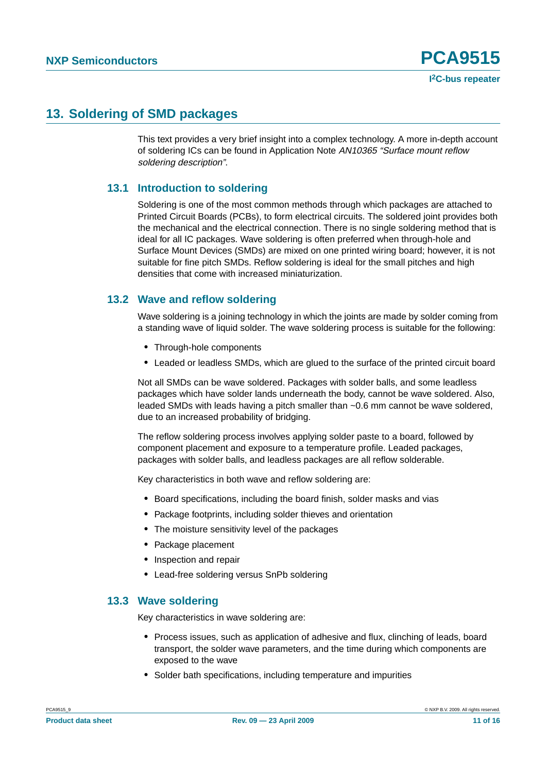## <span id="page-10-0"></span>**13. Soldering of SMD packages**

This text provides a very brief insight into a complex technology. A more in-depth account of soldering ICs can be found in Application Note AN10365 "Surface mount reflow soldering description".

### <span id="page-10-1"></span>**13.1 Introduction to soldering**

Soldering is one of the most common methods through which packages are attached to Printed Circuit Boards (PCBs), to form electrical circuits. The soldered joint provides both the mechanical and the electrical connection. There is no single soldering method that is ideal for all IC packages. Wave soldering is often preferred when through-hole and Surface Mount Devices (SMDs) are mixed on one printed wiring board; however, it is not suitable for fine pitch SMDs. Reflow soldering is ideal for the small pitches and high densities that come with increased miniaturization.

### <span id="page-10-2"></span>**13.2 Wave and reflow soldering**

Wave soldering is a joining technology in which the joints are made by solder coming from a standing wave of liquid solder. The wave soldering process is suitable for the following:

- **•** Through-hole components
- **•** Leaded or leadless SMDs, which are glued to the surface of the printed circuit board

Not all SMDs can be wave soldered. Packages with solder balls, and some leadless packages which have solder lands underneath the body, cannot be wave soldered. Also, leaded SMDs with leads having a pitch smaller than ~0.6 mm cannot be wave soldered, due to an increased probability of bridging.

The reflow soldering process involves applying solder paste to a board, followed by component placement and exposure to a temperature profile. Leaded packages, packages with solder balls, and leadless packages are all reflow solderable.

Key characteristics in both wave and reflow soldering are:

- **•** Board specifications, including the board finish, solder masks and vias
- **•** Package footprints, including solder thieves and orientation
- **•** The moisture sensitivity level of the packages
- **•** Package placement
- **•** Inspection and repair
- **•** Lead-free soldering versus SnPb soldering

### <span id="page-10-3"></span>**13.3 Wave soldering**

Key characteristics in wave soldering are:

- **•** Process issues, such as application of adhesive and flux, clinching of leads, board transport, the solder wave parameters, and the time during which components are exposed to the wave
- **•** Solder bath specifications, including temperature and impurities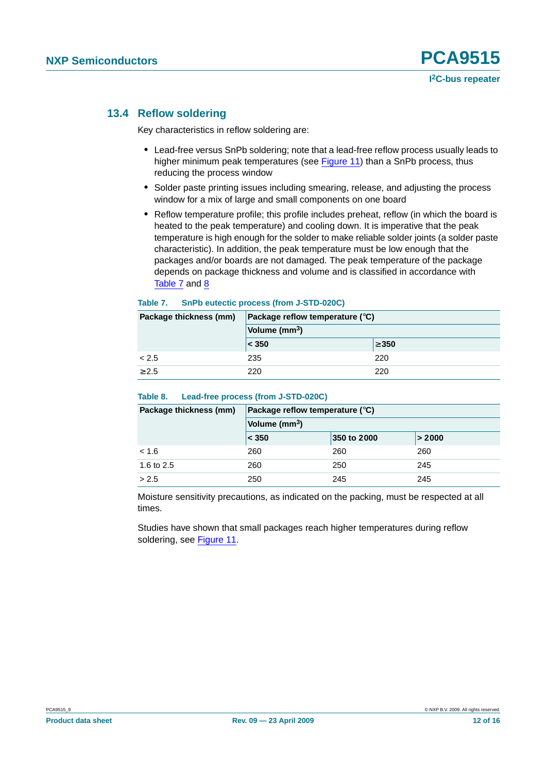### <span id="page-11-0"></span>**13.4 Reflow soldering**

Key characteristics in reflow soldering are:

- **•** Lead-free versus SnPb soldering; note that a lead-free reflow process usually leads to higher minimum peak temperatures (see Figure 11) than a SnPb process, thus reducing the process window
- **•** Solder paste printing issues including smearing, release, and adjusting the process window for a mix of large and small components on one board
- **•** Reflow temperature profile; this profile includes preheat, reflow (in which the board is heated to the peak temperature) and cooling down. It is imperative that the peak temperature is high enough for the solder to make reliable solder joints (a solder paste characteristic). In addition, the peak temperature must be low enough that the packages and/or boards are not damaged. The peak temperature of the package depends on package thickness and volume and is classified in accordance with Table 7 and 8

### **Table 7. SnPb eutectic process (from J-STD-020C)**

| Package thickness (mm) | Package reflow temperature $(^\circ \text{C})$ |            |  |
|------------------------|------------------------------------------------|------------|--|
|                        | Volume (mm <sup>3</sup> )                      |            |  |
|                        | $ <$ 350                                       | $\geq 350$ |  |
| < 2.5                  | 235                                            | 220        |  |
| > 2.5                  | 220                                            | 220        |  |

### **Table 8. Lead-free process (from J-STD-020C)**

| Package thickness (mm) | Package reflow temperature $(^\circ \text{C})$ |             |        |  |
|------------------------|------------------------------------------------|-------------|--------|--|
|                        | Volume (mm <sup>3</sup> )                      |             |        |  |
|                        | < 350                                          | 350 to 2000 | > 2000 |  |
| < 1.6                  | 260                                            | 260         | 260    |  |
| 1.6 to 2.5             | 260                                            | 250         | 245    |  |
| > 2.5                  | 250                                            | 245         | 245    |  |

Moisture sensitivity precautions, as indicated on the packing, must be respected at all times.

Studies have shown that small packages reach higher temperatures during reflow soldering, see Figure 11.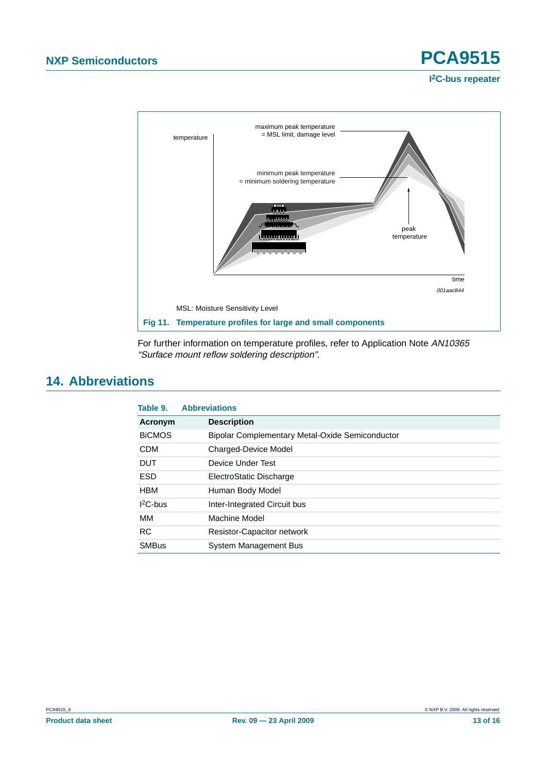

For further information on temperature profiles, refer to Application Note AN10365 "Surface mount reflow soldering description".

## <span id="page-12-0"></span>**14. Abbreviations**

| Table 9.      | <b>Abbreviations</b>                                   |
|---------------|--------------------------------------------------------|
| Acronym       | <b>Description</b>                                     |
| <b>BICMOS</b> | <b>Bipolar Complementary Metal-Oxide Semiconductor</b> |
| <b>CDM</b>    | <b>Charged-Device Model</b>                            |
| <b>DUT</b>    | Device Under Test                                      |
| <b>ESD</b>    | ElectroStatic Discharge                                |
| <b>HBM</b>    | Human Body Model                                       |
| $12C$ -bus    | Inter-Integrated Circuit bus                           |
| MМ            | Machine Model                                          |
| <b>RC</b>     | <b>Resistor-Capacitor network</b>                      |
| <b>SMBus</b>  | System Management Bus                                  |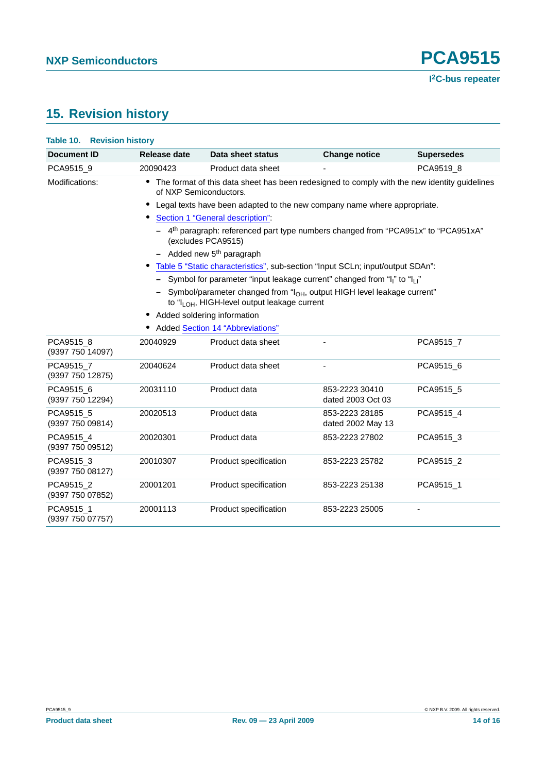# <span id="page-13-0"></span>**15. Revision history**

| Table 10. Revision history    |                               |                                                                                                                                                   |                                     |                   |
|-------------------------------|-------------------------------|---------------------------------------------------------------------------------------------------------------------------------------------------|-------------------------------------|-------------------|
| Document ID                   | Release date                  | Data sheet status                                                                                                                                 | <b>Change notice</b>                | <b>Supersedes</b> |
| PCA9515_9                     | 20090423                      | Product data sheet                                                                                                                                |                                     | PCA9519_8         |
| Modifications:                | of NXP Semiconductors.        | The format of this data sheet has been redesigned to comply with the new identity guidelines                                                      |                                     |                   |
|                               |                               | Legal texts have been adapted to the new company name where appropriate.                                                                          |                                     |                   |
|                               |                               | Section 1 "General description":                                                                                                                  |                                     |                   |
|                               |                               | - 4 <sup>th</sup> paragraph: referenced part type numbers changed from "PCA951x" to "PCA951xA"<br>(excludes PCA9515)                              |                                     |                   |
|                               |                               | $-$ Added new 5 <sup>th</sup> paragraph                                                                                                           |                                     |                   |
|                               |                               | Table 5 "Static characteristics", sub-section "Input SCLn; input/output SDAn":                                                                    |                                     |                   |
|                               |                               | - Symbol for parameter "input leakage current" changed from " $I_1$ " to " $I_1$ "                                                                |                                     |                   |
|                               |                               | - Symbol/parameter changed from "l <sub>OH</sub> , output HIGH level leakage current"<br>to "I <sub>LOH</sub> , HIGH-level output leakage current |                                     |                   |
|                               | • Added soldering information |                                                                                                                                                   |                                     |                   |
|                               |                               | • Added Section 14 "Abbreviations"                                                                                                                |                                     |                   |
| PCA9515 8<br>(9397 750 14097) | 20040929                      | Product data sheet                                                                                                                                |                                     | PCA9515 7         |
| PCA9515 7<br>(9397 750 12875) | 20040624                      | Product data sheet                                                                                                                                |                                     | PCA9515 6         |
| PCA9515_6<br>(9397 750 12294) | 20031110                      | Product data                                                                                                                                      | 853-2223 30410<br>dated 2003 Oct 03 | PCA9515 5         |
| PCA9515_5<br>(9397 750 09814) | 20020513                      | Product data                                                                                                                                      | 853-2223 28185<br>dated 2002 May 13 | PCA9515_4         |
| PCA9515 4<br>(9397 750 09512) | 20020301                      | Product data                                                                                                                                      | 853-2223 27802                      | PCA9515_3         |
| PCA9515_3<br>(9397 750 08127) | 20010307                      | Product specification                                                                                                                             | 853-2223 25782                      | PCA9515_2         |
| PCA9515 2<br>(9397 750 07852) | 20001201                      | Product specification                                                                                                                             | 853-2223 25138                      | PCA9515_1         |
| PCA9515_1<br>(9397 750 07757) | 20001113                      | Product specification                                                                                                                             | 853-2223 25005                      |                   |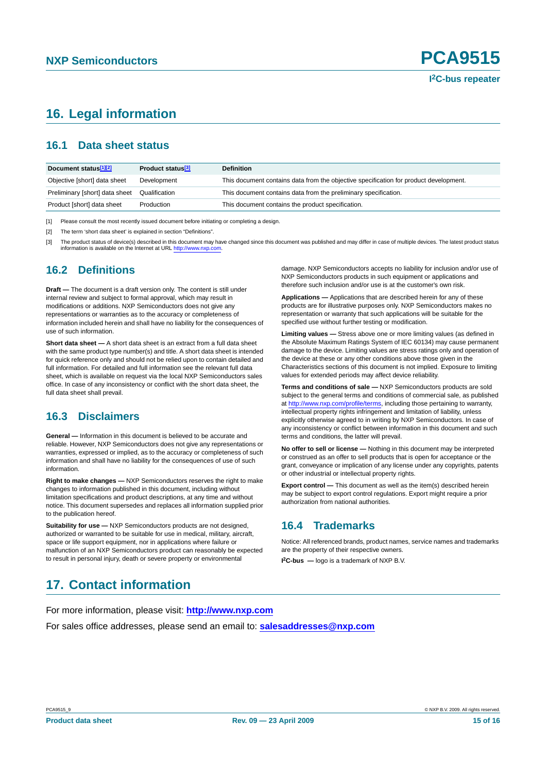## <span id="page-14-0"></span>**16. Legal information**

### <span id="page-14-1"></span>**16.1 Data sheet status**

| Document status <sup>[1][2]</sup> | Product status <sup>[3]</sup> | <b>Definition</b>                                                                     |
|-----------------------------------|-------------------------------|---------------------------------------------------------------------------------------|
| Objective [short] data sheet      | Development                   | This document contains data from the objective specification for product development. |
| Preliminary [short] data sheet    | Qualification                 | This document contains data from the preliminary specification.                       |
| Product [short] data sheet        | Production                    | This document contains the product specification.                                     |

[1] Please consult the most recently issued document before initiating or completing a design.

[2] The term 'short data sheet' is explained in section "Definitions".

[3] The product status of device(s) described in this document may have changed since this document was published and may differ in case of multiple devices. The latest product status information is available on the Internet at URL <http://www.nxp.com>.

### <span id="page-14-2"></span>**16.2 Definitions**

**Draft —** The document is a draft version only. The content is still under internal review and subject to formal approval, which may result in modifications or additions. NXP Semiconductors does not give any representations or warranties as to the accuracy or completeness of information included herein and shall have no liability for the consequences of use of such information.

**Short data sheet —** A short data sheet is an extract from a full data sheet with the same product type number(s) and title. A short data sheet is intended for quick reference only and should not be relied upon to contain detailed and full information. For detailed and full information see the relevant full data sheet, which is available on request via the local NXP Semiconductors sales office. In case of any inconsistency or conflict with the short data sheet, the full data sheet shall prevail.

### <span id="page-14-3"></span>**16.3 Disclaimers**

**General —** Information in this document is believed to be accurate and reliable. However, NXP Semiconductors does not give any representations or warranties, expressed or implied, as to the accuracy or completeness of such information and shall have no liability for the consequences of use of such information.

**Right to make changes —** NXP Semiconductors reserves the right to make changes to information published in this document, including without limitation specifications and product descriptions, at any time and without notice. This document supersedes and replaces all information supplied prior to the publication hereof.

**Suitability for use - NXP** Semiconductors products are not designed, authorized or warranted to be suitable for use in medical, military, aircraft, space or life support equipment, nor in applications where failure or malfunction of an NXP Semiconductors product can reasonably be expected to result in personal injury, death or severe property or environmental

damage. NXP Semiconductors accepts no liability for inclusion and/or use of NXP Semiconductors products in such equipment or applications and therefore such inclusion and/or use is at the customer's own risk.

**Applications —** Applications that are described herein for any of these products are for illustrative purposes only. NXP Semiconductors makes no representation or warranty that such applications will be suitable for the specified use without further testing or modification.

**Limiting values —** Stress above one or more limiting values (as defined in the Absolute Maximum Ratings System of IEC 60134) may cause permanent damage to the device. Limiting values are stress ratings only and operation of the device at these or any other conditions above those given in the Characteristics sections of this document is not implied. Exposure to limiting values for extended periods may affect device reliability.

**Terms and conditions of sale —** NXP Semiconductors products are sold subject to the general terms and conditions of commercial sale, as published at <http://www.nxp.com/profile/terms>, including those pertaining to warranty, intellectual property rights infringement and limitation of liability, unless explicitly otherwise agreed to in writing by NXP Semiconductors. In case of any inconsistency or conflict between information in this document and such terms and conditions, the latter will prevail.

**No offer to sell or license —** Nothing in this document may be interpreted or construed as an offer to sell products that is open for acceptance or the grant, conveyance or implication of any license under any copyrights, patents or other industrial or intellectual property rights.

**Export control —** This document as well as the item(s) described herein may be subject to export control regulations. Export might require a prior authorization from national authorities.

### <span id="page-14-4"></span>**16.4 Trademarks**

Notice: All referenced brands, product names, service names and trademarks are the property of their respective owners.

**I 2C-bus —** logo is a trademark of NXP B.V.

## <span id="page-14-5"></span>**17. Contact information**

For more information, please visit: **http://www.nxp.com**

For sales office addresses, please send an email to: **salesaddresses@nxp.com**